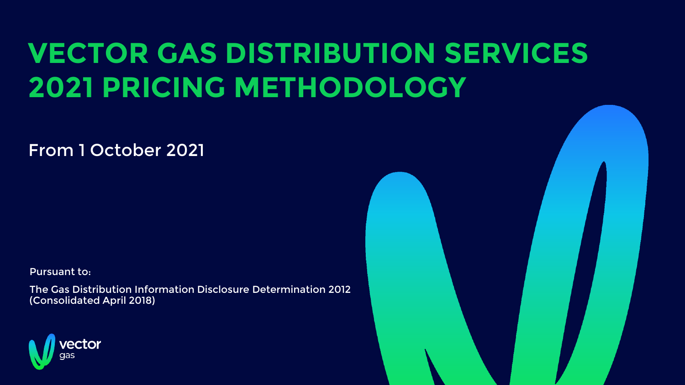## **VECTOR GAS DISTRIBUTION SERVICES 2021 PRICING METHODOLOGY**

From 1 October 2021

Pursuant to:

The Gas Distribution Information Disclosure Determination 2012 (Consolidated April 2018)

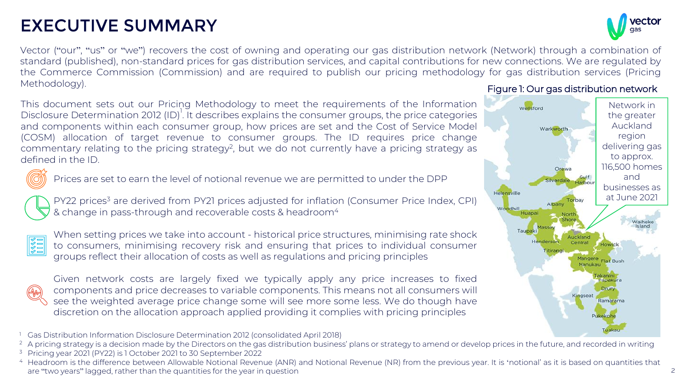## EXECUTIVE SUMMARY

Vector ("our", "us" or "we") recovers the cost of owning and operating our gas distribution network (Network) through a combination of standard (published), non-standard prices for gas distribution services, and capital contributions for new connections. We are regulated by the Commerce Commission (Commission) and are required to publish our pricing methodology for gas distribution services (Pricing Methodology).

This document sets out our Pricing Methodology to meet the requirements of the Information Disclosure Determination 2012 (ID)<sup>1</sup>. It describes explains the consumer groups, the price categories and components within each consumer group, how prices are set and the Cost of Service Model (COSM) allocation of target revenue to consumer groups. The ID requires price change commentary relating to the pricing strategy<sup>2</sup>, but we do not currently have a pricing strategy as defined in the ID.



Prices are set to earn the level of notional revenue we are permitted to under the DPP

PY22 prices<sup>3</sup> are derived from PY21 prices adjusted for inflation (Consumer Price Index, CPI) & change in pass-through and recoverable costs & headroom<sup>4</sup>



When setting prices we take into account - historical price structures, minimising rate shock to consumers, minimising recovery risk and ensuring that prices to individual consumer groups reflect their allocation of costs as well as regulations and pricing principles



Given network costs are largely fixed we typically apply any price increases to fixed components and price decreases to variable components. This means not all consumers will see the weighted average price change some will see more some less. We do though have discretion on the allocation approach applied providing it complies with pricing principles

- <sup>1</sup> Gas Distribution Information Disclosure Determination 2012 (consolidated April 2018)
- <sup>2</sup> A pricing strategy is a decision made by the Directors on the gas distribution business' plans or strategy to amend or develop prices in the future, and recorded in writing
- <sup>3</sup> Pricing year 2021 (PY22) is 1 October 2021 to 30 September 2022

#### Figure 1: Our gas distribution network





<sup>&</sup>lt;sup>4</sup> Headroom is the difference between Allowable Notional Revenue (ANR) and Notional Revenue (NR) from the previous year. It is 'notional' as it is based on quantities that are "two years" lagged, rather than the quantities for the year in question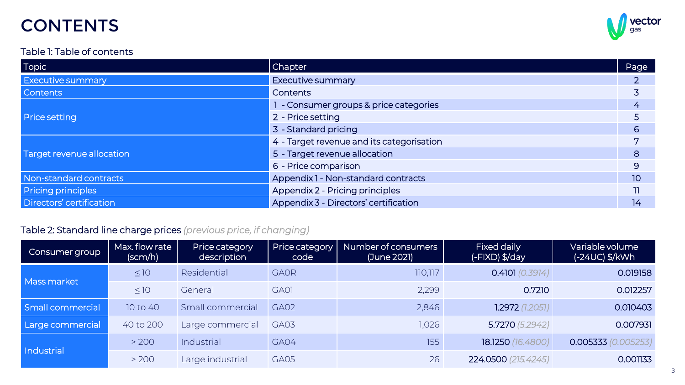## **CONTENTS**

#### vector gas

#### Table 1: Table of contents

| <b>Topic</b>              | <b>Chapter</b>                            | Page         |
|---------------------------|-------------------------------------------|--------------|
| <b>Executive summary</b>  | <b>Executive summary</b>                  |              |
| <b>Contents</b>           | Contents                                  |              |
|                           | 1 - Consumer groups & price categories    |              |
| <b>Price setting</b>      | 2 - Price setting                         |              |
|                           | 3 - Standard pricing                      | 6            |
|                           | 4 - Target revenue and its categorisation |              |
| Target revenue allocation | 5 - Target revenue allocation             | 8            |
|                           | 6 - Price comparison                      | $\mathsf{Q}$ |
| Non-standard contracts    | Appendix 1 - Non-standard contracts       | 10           |
| Pricing principles        | Appendix 2 - Pricing principles           |              |
| Directors' certification  | Appendix 3 - Directors' certification     | 14           |

#### Table 2: Standard line charge prices *(previous price, if changing)*

| Consumer group    | Max. flow rate<br>(scm/h) | Price category<br>description | Price category<br>code | Number of consumers<br>(June 2021) | Fixed daily<br>(-FIXD) \$/day | Variable volume<br>$(-24UC)$ \$/kWh |
|-------------------|---------------------------|-------------------------------|------------------------|------------------------------------|-------------------------------|-------------------------------------|
| Mass market       | $\leq 10$                 | Residential                   | <b>GAOR</b>            | 110,117                            | 0.4101(0.3914)                | 0.019158                            |
|                   | $\leq 10$                 | General                       | GA01                   | 2,299                              | 0.7210                        | 0.012257                            |
| Small commercial  | 10 to 40                  | Small commercial              | GA02                   | 2,846                              | 1.2972(1.2051)                | 0.010403                            |
| Large commercial  | 40 to 200                 | Large commercial              | GA03                   | 1,026                              | 5.7270(5.2942)                | 0.007931                            |
| <b>Industrial</b> | > 200                     | Industrial                    | GA04                   | 155                                | 18.1250 (16.4800)             | 0.005253)<br>0.005333               |
|                   | > 200                     | Large industrial              | GA05                   | 26                                 | 224.0500 (215.4245)           | 0.001133                            |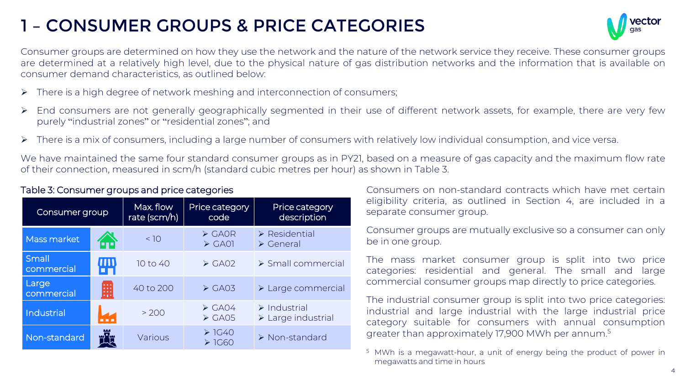## 1 – CONSUMER GROUPS & PRICE CATEGORIES



Consumer groups are determined on how they use the network and the nature of the network service they receive. These consumer groups are determined at a relatively high level, due to the physical nature of gas distribution networks and the information that is available on consumer demand characteristics, as outlined below:

- ➢ There is a high degree of network meshing and interconnection of consumers;
- ➢ End consumers are not generally geographically segmented in their use of different network assets, for example, there are very few purely "industrial zones" or "residential zones"; and
- ➢ There is a mix of consumers, including a large number of consumers with relatively low individual consumption, and vice versa.

We have maintained the same four standard consumer groups as in PY21, based on a measure of gas capacity and the maximum flow rate of their connection, measured in scm/h (standard cubic metres per hour) as shown in Table 3.

| Consumer group      |       | Max. flow<br>rate (scm/h) | Price category<br>code                         | Price category<br>description                                    |  |
|---------------------|-------|---------------------------|------------------------------------------------|------------------------------------------------------------------|--|
| Mass market         | Z.)   | < 10                      | $\triangleright$ GAOR<br>$\triangleright$ GA01 | $\triangleright$ Residential<br>$\triangleright$ General         |  |
| Small<br>commercial | (III) | 10 to 40                  | $\triangleright$ GA02                          | $\triangleright$ Small commercial                                |  |
| Large<br>commercial | 開     | 40 to 200                 | $\triangleright$ GA03                          | $\triangleright$ Large commercial                                |  |
| Industrial          | a a a | > 200                     | $\triangleright$ GA04<br>$\triangleright$ GA05 | $\triangleright$ Industrial<br>$\triangleright$ Large industrial |  |
| Non-standard        |       | Various                   | $\geq$ 1G40<br>$\geq$ 1G60                     | $\triangleright$ Non-standard                                    |  |

#### Table 3: Consumer groups and price categories

Consumers on non-standard contracts which have met certain eligibility criteria, as outlined in Section 4, are included in a separate consumer group.

Consumer groups are mutually exclusive so a consumer can only be in one group.

The mass market consumer group is split into two price categories: residential and general. The small and large commercial consumer groups map directly to price categories.

The industrial consumer group is split into two price categories: industrial and large industrial with the large industrial price category suitable for consumers with annual consumption greater than approximately 17,900 MWh per annum. 5

<sup>5</sup> MWh is a megawatt-hour, a unit of energy being the product of power in megawatts and time in hours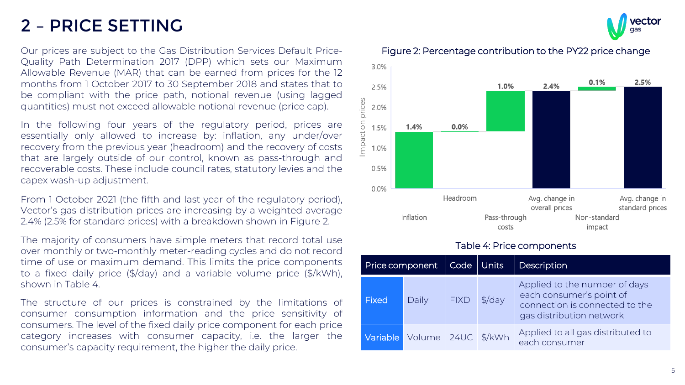## 2 – PRICE SETTING

Our prices are subject to the Gas Distribution Services Default Price-Quality Path Determination 2017 (DPP) which sets our Maximum Allowable Revenue (MAR) that can be earned from prices for the 12 months from 1 October 2017 to 30 September 2018 and states that to be compliant with the price path, notional revenue (using lagged quantities) must not exceed allowable notional revenue (price cap).

In the following four years of the regulatory period, prices are essentially only allowed to increase by: inflation, any under/over recovery from the previous year (headroom) and the recovery of costs that are largely outside of our control, known as pass-through and recoverable costs. These include council rates, statutory levies and the capex wash-up adjustment.

From 1 October 2021 (the fifth and last year of the regulatory period), Vector's gas distribution prices are increasing by a weighted average 2.4% (2.5% for standard prices) with a breakdown shown in Figure 2.

The majority of consumers have simple meters that record total use over monthly or two-monthly meter-reading cycles and do not record time of use or maximum demand. This limits the price components to a fixed daily price (\$/day) and a variable volume price (\$/kWh), shown in Table 4.

The structure of our prices is constrained by the limitations of consumer consumption information and the price sensitivity of consumers. The level of the fixed daily price component for each price category increases with consumer capacity, i.e. the larger the consumer's capacity requirement, the higher the daily price.

Figure 2: Percentage contribution to the PY22 price change



#### Table 4: Price components

| Price component |                    | Code   Units |                   | Description                                                                                                             |
|-----------------|--------------------|--------------|-------------------|-------------------------------------------------------------------------------------------------------------------------|
| Fixed           | Daily              | <b>FIXD</b>  | $\frac{1}{2}$ day | Applied to the number of days<br>each consumer's point of<br>connection is connected to the<br>gas distribution network |
| Variable        | Volume 24UC \$/kWh |              |                   | Applied to all gas distributed to<br>each consumer                                                                      |

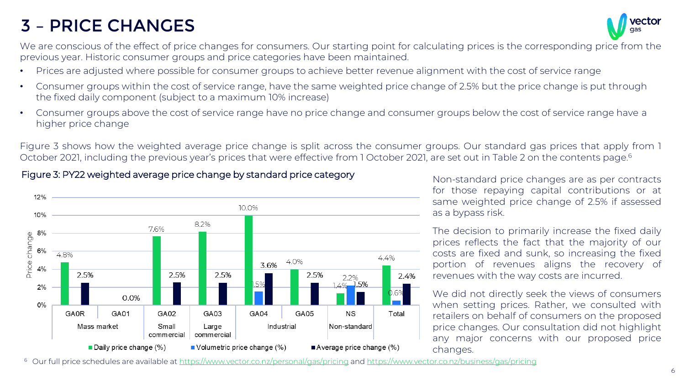## 3 – PRICE CHANGES



We are conscious of the effect of price changes for consumers. Our starting point for calculating prices is the corresponding price from the previous year. Historic consumer groups and price categories have been maintained.

- Prices are adjusted where possible for consumer groups to achieve better revenue alignment with the cost of service range
- Consumer groups within the cost of service range, have the same weighted price change of 2.5% but the price change is put through the fixed daily component (subject to a maximum 10% increase)
- Consumer groups above the cost of service range have no price change and consumer groups below the cost of service range have a higher price change

Figure 3 shows how the weighted average price change is split across the consumer groups. Our standard gas prices that apply from 1 October 2021, including the previous year's prices that were effective from 1 October 2021, are set out in Table 2 on the contents page. 6

#### 12% 10.0% 10% 8.2% 7.6% 8% Price change 6% 4.8%  $4.4%$ 4.0% 3.6% 2.5% 2.5% 2.5% 2.5% 2.4% 2.2% .5%  $2%$  $0.6\%$ 0.0%  $0%$ **GA0R** GA02 GA03 GA04 GA05 **NS** GA01 Total Mass market Large Industrial Non-standard Small commercial commercial Daily price change (%)  $\blacksquare$  Volumetric price change (%) Average price change (%)

Figure 3: PY22 weighted average price change by standard price category

Non-standard price changes are as per contracts for those repaying capital contributions or at same weighted price change of 2.5% if assessed as a bypass risk.

The decision to primarily increase the fixed daily prices reflects the fact that the majority of our costs are fixed and sunk, so increasing the fixed portion of revenues aligns the recovery of revenues with the way costs are incurred.

We did not directly seek the views of consumers when setting prices. Rather, we consulted with retailers on behalf of consumers on the proposed price changes. Our consultation did not highlight any major concerns with our proposed price changes.

<sup>6</sup> Our full price schedules are available at <https://www.vector.co.nz/personal/gas/pricing> and <https://www.vector.co.nz/business/gas/pricing>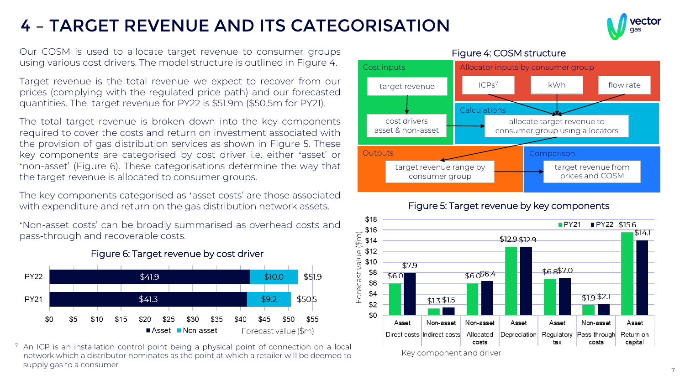## 4 – TARGET REVENUE AND ITS CATEGORISATION



Our COSM is used to allocate target revenue to consumer groups using various cost drivers. The model structure is outlined in Figure 4.

Target revenue is the total revenue we expect to recover from our prices (complying with the regulated price path) and our forecasted quantities. The target revenue for PY22 is \$51.9m (\$50.5m for PY21).

The total target revenue is broken down into the key components required to cover the costs and return on investment associated with the provision of gas distribution services as shown in Figure 5. These key components are categorised by cost driver i.e. either 'asset' or 'non-asset' (Figure 6). These categorisations determine the way that the target revenue is allocated to consumer groups.

The key components categorised as 'asset costs' are those associated with expenditure and return on the gas distribution network assets.

'Non-asset costs' can be broadly summarised as overhead costs and pass-through and recoverable costs.



Figure 6: Target revenue by cost driver

<sup>7</sup> An ICP is an installation control point being a physical point of connection on a local network which a distributor nominates as the point at which a retailer will be deemed to supply gas to a consumer



# Figure 5: Target revenue by key components



#### Figure 4: COSM structure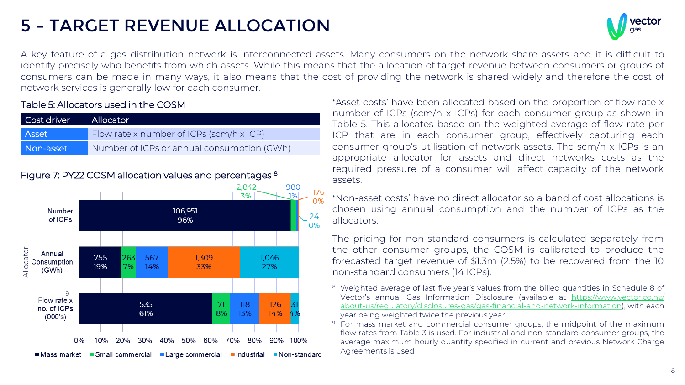## 5 – TARGET REVENUE ALLOCATION



A key feature of a gas distribution network is interconnected assets. Many consumers on the network share assets and it is difficult to identify precisely who benefits from which assets. While this means that the allocation of target revenue between consumers or groups of consumers can be made in many ways, it also means that the cost of providing the network is shared widely and therefore the cost of network services is generally low for each consumer.

#### Table 5: Allocators used in the COSM

| Cost driver  | Allocator                                  |
|--------------|--------------------------------------------|
| <b>Asset</b> | Flow rate x number of ICPs (scm/h x ICP)   |
| Non-asset    | Number of ICPs or annual consumption (GWh) |



'Asset costs' have been allocated based on the proportion of flow rate x number of ICPs (scm/h x ICPs) for each consumer group as shown in Table 5. This allocates based on the weighted average of flow rate per ICP that are in each consumer group, effectively capturing each consumer group's utilisation of network assets. The scm/h x ICPs is an appropriate allocator for assets and direct networks costs as the required pressure of a consumer will affect capacity of the network assets.

'Non-asset costs' have no direct allocator so a band of cost allocations is chosen using annual consumption and the number of ICPs as the allocators.

The pricing for non-standard consumers is calculated separately from the other consumer groups, the COSM is calibrated to produce the forecasted target revenue of \$1.3m (2.5%) to be recovered from the 10 non-standard consumers (14 ICPs).

- <sup>8</sup> Weighted average of last five year's values from the billed quantities in Schedule 8 of Vector's annual Gas Information Disclosure (available at https://www.vector.co.nz/ [about-us/regulatory/disclosures-gas/gas-financial-and-network-information\),](https://www.vector.co.nz/about-us/regulatory/disclosures-gas/gas-financial-and-network-information) with each year being weighted twice the previous year
- <sup>9</sup> For mass market and commercial consumer groups, the midpoint of the maximum flow rates from Table 3 is used. For industrial and non-standard consumer groups, the average maximum hourly quantity specified in current and previous Network Charge Agreements is used

#### Figure 7: PY22 COSM allocation values and percentages <sup>8</sup>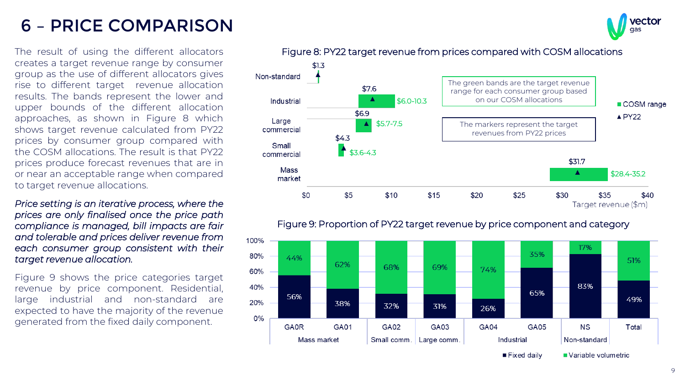## 6 – PRICE COMPARISON

The result of using the different allocators creates a target revenue range by consumer group as the use of different allocators gives rise to different target revenue allocation results. The bands represent the lower and upper bounds of the different allocation approaches, as shown in Figure 8 which shows target revenue calculated from PY22 prices by consumer group compared with the COSM allocations. The result is that PY22 prices produce forecast revenues that are in or near an acceptable range when compared to target revenue allocations.

*Price setting is an iterative process, where the prices are only finalised once the price path compliance is managed, bill impacts are fair and tolerable and prices deliver revenue from each consumer group consistent with their target revenue allocation.*

Figure 9 shows the price categories target revenue by price component. Residential, large industrial and non-standard are expected to have the majority of the revenue generated from the fixed daily component.





Figure 9: Proportion of PY22 target revenue by price component and category

Figure 8: PY22 target revenue from prices compared with COSM allocations

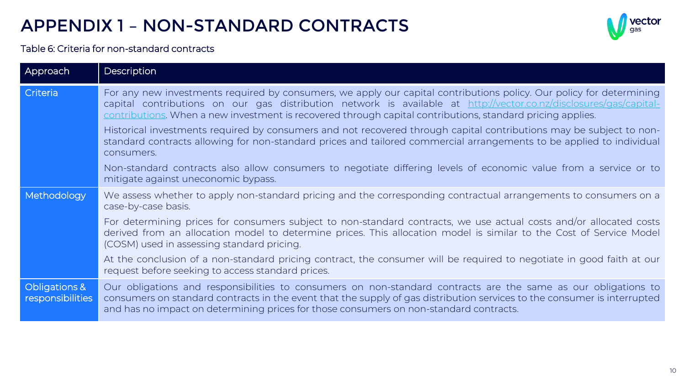## APPENDIX 1 – NON-STANDARD CONTRACTS



#### Table 6: Criteria for non-standard contracts

| Approach                          | Description                                                                                                                                                                                                                                                                                                                                              |
|-----------------------------------|----------------------------------------------------------------------------------------------------------------------------------------------------------------------------------------------------------------------------------------------------------------------------------------------------------------------------------------------------------|
| Criteria                          | For any new investments required by consumers, we apply our capital contributions policy. Our policy for determining<br>capital contributions on our gas distribution network is available at http://vector.co.nz/disclosures/gas/capital-<br>contributions. When a new investment is recovered through capital contributions, standard pricing applies. |
|                                   | Historical investments required by consumers and not recovered through capital contributions may be subject to non-<br>standard contracts allowing for non-standard prices and tailored commercial arrangements to be applied to individual<br>consumers.                                                                                                |
|                                   | Non-standard contracts also allow consumers to negotiate differing levels of economic value from a service or to<br>mitigate against uneconomic bypass.                                                                                                                                                                                                  |
| Methodology                       | We assess whether to apply non-standard pricing and the corresponding contractual arrangements to consumers on a<br>case-by-case basis.                                                                                                                                                                                                                  |
|                                   | For determining prices for consumers subject to non-standard contracts, we use actual costs and/or allocated costs<br>derived from an allocation model to determine prices. This allocation model is similar to the Cost of Service Model<br>(COSM) used in assessing standard pricing.                                                                  |
|                                   | At the conclusion of a non-standard pricing contract, the consumer will be required to negotiate in good faith at our<br>request before seeking to access standard prices.                                                                                                                                                                               |
| Obligations &<br>responsibilities | Our obligations and responsibilities to consumers on non-standard contracts are the same as our obligations to<br>consumers on standard contracts in the event that the supply of gas distribution services to the consumer is interrupted<br>and has no impact on determining prices for those consumers on non-standard contracts.                     |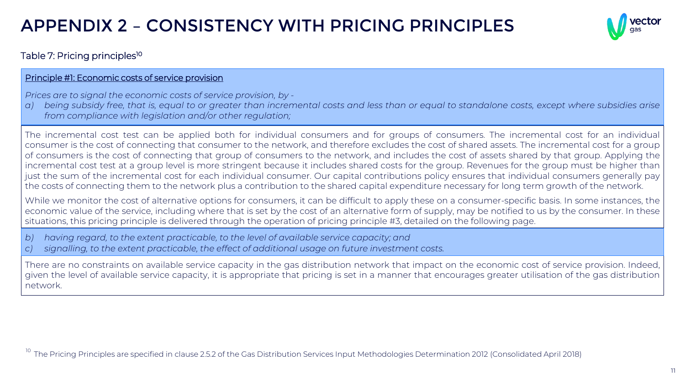## APPENDIX 2 – CONSISTENCY WITH PRICING PRINCIPLES



#### Table 7: Pricing principles<sup>10</sup>

#### Principle #1: Economic costs of service provision

*Prices are to signal the economic costs of service provision, by -*

a) being subsidy free, that is, equal to or greater than incremental costs and less than or equal to standalone costs, except where subsidies arise *from compliance with legislation and/or other regulation;*

The incremental cost test can be applied both for individual consumers and for groups of consumers. The incremental cost for an individual consumer is the cost of connecting that consumer to the network, and therefore excludes the cost of shared assets. The incremental cost for a group of consumers is the cost of connecting that group of consumers to the network, and includes the cost of assets shared by that group. Applying the incremental cost test at a group level is more stringent because it includes shared costs for the group. Revenues for the group must be higher than just the sum of the incremental cost for each individual consumer. Our capital contributions policy ensures that individual consumers generally pay the costs of connecting them to the network plus a contribution to the shared capital expenditure necessary for long term growth of the network.

While we monitor the cost of alternative options for consumers, it can be difficult to apply these on a consumer-specific basis. In some instances, the economic value of the service, including where that is set by the cost of an alternative form of supply, may be notified to us by the consumer. In these situations, this pricing principle is delivered through the operation of pricing principle #3, detailed on the following page.

- *b) having regard, to the extent practicable, to the level of available service capacity; and*
- *c) signalling, to the extent practicable, the effect of additional usage on future investment costs.*

There are no constraints on available service capacity in the gas distribution network that impact on the economic cost of service provision. Indeed, given the level of available service capacity, it is appropriate that pricing is set in a manner that encourages greater utilisation of the gas distribution network.

<sup>10</sup> The Pricing Principles are specified in clause 2.5.2 of the Gas Distribution Services Input Methodologies Determination 2012 (Consolidated April 2018)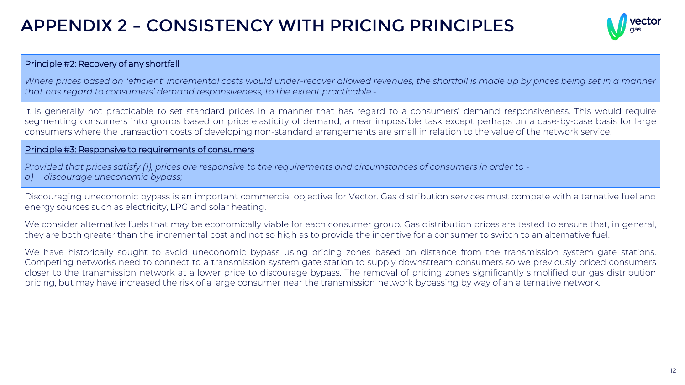## APPENDIX 2 – CONSISTENCY WITH PRICING PRINCIPLES



#### Principle #2: Recovery of any shortfall

Where prices based on 'efficient' incremental costs would under-recover allowed revenues, the shortfall is made up by prices being set in a manner *that has regard to consumers' demand responsiveness, to the extent practicable.-*

It is generally not practicable to set standard prices in a manner that has regard to a consumers' demand responsiveness. This would require segmenting consumers into groups based on price elasticity of demand, a near impossible task except perhaps on a case-by-case basis for large consumers where the transaction costs of developing non-standard arrangements are small in relation to the value of the network service.

#### Principle #3: Responsive to requirements of consumers

Provided that prices satisfy (1), prices are responsive to the requirements and circumstances of consumers in order to *a) discourage uneconomic bypass;*

Discouraging uneconomic bypass is an important commercial objective for Vector. Gas distribution services must compete with alternative fuel and energy sources such as electricity, LPG and solar heating.

We consider alternative fuels that may be economically viable for each consumer group. Gas distribution prices are tested to ensure that, in general, they are both greater than the incremental cost and not so high as to provide the incentive for a consumer to switch to an alternative fuel.

We have historically sought to avoid uneconomic bypass using pricing zones based on distance from the transmission system gate stations. Competing networks need to connect to a transmission system gate station to supply downstream consumers so we previously priced consumers closer to the transmission network at a lower price to discourage bypass. The removal of pricing zones significantly simplified our gas distribution pricing, but may have increased the risk of a large consumer near the transmission network bypassing by way of an alternative network.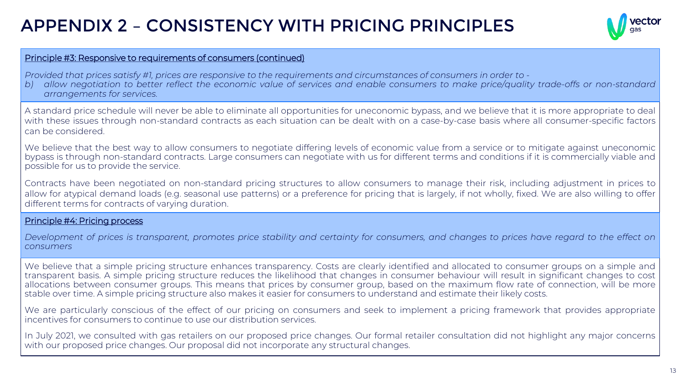## APPENDIX 2 – CONSISTENCY WITH PRICING PRINCIPLES



#### Principle #3: Responsive to requirements of consumers (continued)

Provided that prices satisfy #1, prices are responsive to the requirements and circumstances of consumers in order to -

b) allow negotiation to better reflect the economic value of services and enable consumers to make price/quality trade-offs or non-standard *arrangements for services.*

A standard price schedule will never be able to eliminate all opportunities for uneconomic bypass, and we believe that it is more appropriate to deal with these issues through non-standard contracts as each situation can be dealt with on a case-by-case basis where all consumer-specific factors can be considered.

We believe that the best way to allow consumers to negotiate differing levels of economic value from a service or to mitigate against uneconomic bypass is through non-standard contracts. Large consumers can negotiate with us for different terms and conditions if it is commercially viable and possible for us to provide the service.

Contracts have been negotiated on non-standard pricing structures to allow consumers to manage their risk, including adjustment in prices to allow for atypical demand loads (e.g. seasonal use patterns) or a preference for pricing that is largely, if not wholly, fixed. We are also willing to offer different terms for contracts of varying duration.

#### Principle #4: Pricing process

Development of prices is transparent, promotes price stability and certainty for consumers, and changes to prices have regard to the effect on *consumers*

We believe that a simple pricing structure enhances transparency. Costs are clearly identified and allocated to consumer groups on a simple and transparent basis. A simple pricing structure reduces the likelihood that changes in consumer behaviour will result in significant changes to cost allocations between consumer groups. This means that prices by consumer group, based on the maximum flow rate of connection, will be more stable over time. A simple pricing structure also makes it easier for consumers to understand and estimate their likely costs.

We are particularly conscious of the effect of our pricing on consumers and seek to implement a pricing framework that provides appropriate incentives for consumers to continue to use our distribution services.

In July 2021, we consulted with gas retailers on our proposed price changes. Our formal retailer consultation did not highlight any major concerns with our proposed price changes. Our proposal did not incorporate any structural changes.